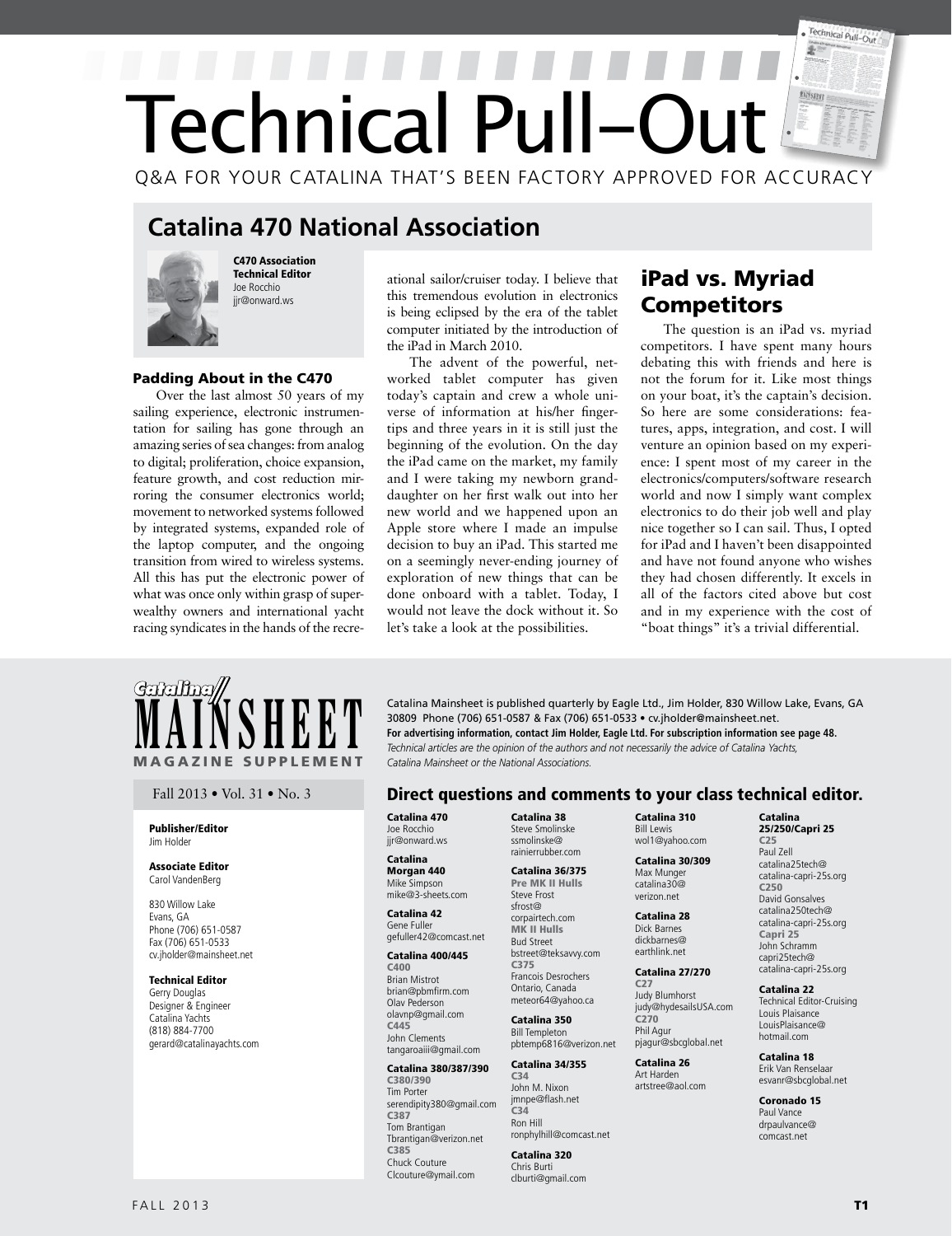# Technical Pull-Out Ð Technical Pull-Out Q&A FOR YOUR CATALINA THAT'S BEEN FACTORY APPROVED FOR ACCURACY

## **Catalina 470 National Association**



C470 Association Technical Editor Joe Rocchio jir@onward.ws

## Padding About in the C470

Over the last almost 50 years of my sailing experience, electronic instrumentation for sailing has gone through an amazing series of sea changes: from analog to digital; proliferation, choice expansion, feature growth, and cost reduction mirroring the consumer electronics world; movement to networked systems followed by integrated systems, expanded role of the laptop computer, and the ongoing transition from wired to wireless systems. All this has put the electronic power of what was once only within grasp of superwealthy owners and international yacht racing syndicates in the hands of the recreational sailor/cruiser today. I believe that this tremendous evolution in electronics is being eclipsed by the era of the tablet computer initiated by the introduction of the iPad in March 2010.

The advent of the powerful, networked tablet computer has given today's captain and crew a whole universe of information at his/her fingertips and three years in it is still just the beginning of the evolution. On the day the iPad came on the market, my family and I were taking my newborn granddaughter on her first walk out into her new world and we happened upon an Apple store where I made an impulse decision to buy an iPad. This started me on a seemingly never-ending journey of exploration of new things that can be done onboard with a tablet. Today, I would not leave the dock without it. So let's take a look at the possibilities.

## iPad vs. Myriad **Competitors**

The question is an iPad vs. myriad competitors. I have spent many hours debating this with friends and here is not the forum for it. Like most things on your boat, it's the captain's decision. So here are some considerations: features, apps, integration, and cost. I will venture an opinion based on my experience: I spent most of my career in the electronics/computers/software research world and now I simply want complex electronics to do their job well and play nice together so I can sail. Thus, I opted for iPad and I haven't been disappointed and have not found anyone who wishes they had chosen differently. It excels in all of the factors cited above but cost and in my experience with the cost of "boat things" it's a trivial differential.



#### Publisher/Editor Jim Holder

#### Associate Editor Carol VandenBerg

830 Willow Lake Evans, GA Phone (706) 651-0587 Fax (706) 651-0533 cv.jholder@mainsheet.net

## Technical Editor

Gerry Douglas Designer & Engineer Catalina Yachts (818) 884-7700 gerard@catalinayachts.com

**MAINSHEET** Catalina Mainsheet is published quarterly by Eagle Ltd., Jim Holder, 830 Willow Lake, Evans, GA<br>For advertising information, contact Jim Holder, Eagle Ltd. For subscription information see page 48.<br>Technical ar 30809 Phone (706) 651-0587 & Fax (706) 651-0533 • cv.jholder@mainsheet.net. **For advertising information, contact Jim Holder, Eagle Ltd. For subscription information see page 48.** *Technical articles are the opinion of the authors and not necessarily the advice of Catalina Yachts, Catalina Mainsheet or the National Associations.* 

## Fall 2013 • Vol. 31 • No. 3 **Direct questions and comments to your class technical editor.**

Catalina 470 Joe Rocchio jir@onward.ws

#### Catalina Morgan 440 Mike Simpson mike@3-sheets.com

Catalina 42 Gene Fuller gefuller42@comcast.net

## Catalina 400/445

C400 Brian Mistrot brian@pbmfirm.com Olav Pederson olavnp@gmail.com C445 John Clements tangaroaiii@gmail.com

## Catalina 380/387/390

C380/390 Tim Porter serendipity380@gmail.com C387 Tom Brantigan Tbrantigan@verizon.net C385 Chuck Couture Clcouture@ymail.com

Catalina 38 Steve Smolinske ssmolinske@ rainierrubber.com

#### Catalina 36/375 Pre MK II Hulls Steve Frost sfrost@ corpairtech.com MK II Hulls

Bud Street bstreet@teksavvy.com C375 Francois Desrochers Ontario, Canada meteor64@yahoo.ca

#### Catalina 350 Bill Templeton pbtemp6816@verizon.net

## Catalina 34/355

C34 John M. Nixon jmnpe@flash.net C34 Ron Hill ronphylhill@comcast.net

## Catalina 320

Chris Burti clburti@gmail.com

#### Catalina 310 Bill Lewis wol1@yahoo.com

 Catalina 30/309 Max Munger catalina30@ verizon.net

#### Catalina 28 Dick Barnes dickbarnes@ earthlink.net

Catalina 27/270 C27 Judy Blumhorst judy@hydesailsUSA.com C270 Phil Agur

pjagur@sbcglobal.net Catalina 26 Art Harden

## artstree@aol.com

Coronado 15 Paul Vance drpaulvance@ comcast.net

Catalina 25/250/Capri 25 C25 Paul Zell catalina25tech@ catalina-capri-25s.org

C250 David Gonsalves catalina250tech@ catalina-capri-25s.org Capri 25 John Schramm capri25tech@ catalina-capri-25s.org Catalina 22 Technical Editor-Cruising Louis Plaisance LouisPlaisance@ hotmail.com Catalina 18 Erik Van Renselaar esvanr@sbcglobal.net